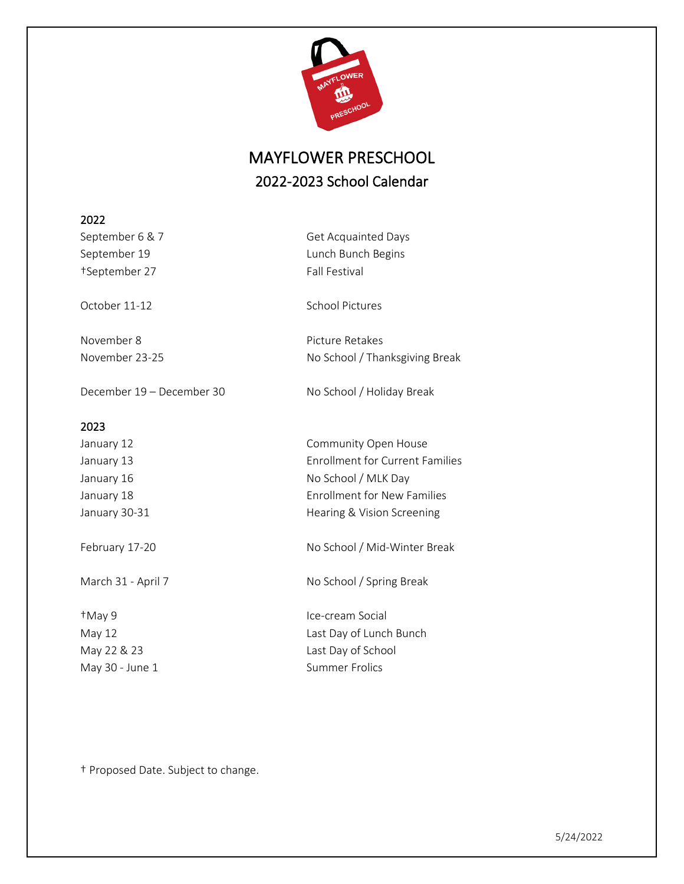

## MAYFLOWER PRESCHOOL 2022-2023 School Calendar

| 2022                      |                                        |  |  |
|---------------------------|----------------------------------------|--|--|
| September 6 & 7           | <b>Get Acquainted Days</b>             |  |  |
| September 19              | Lunch Bunch Begins                     |  |  |
| †September 27             | <b>Fall Festival</b>                   |  |  |
|                           |                                        |  |  |
| October 11-12             | <b>School Pictures</b>                 |  |  |
|                           |                                        |  |  |
| November 8                | Picture Retakes                        |  |  |
| November 23-25            | No School / Thanksgiving Break         |  |  |
| December 19 - December 30 | No School / Holiday Break              |  |  |
| 2023                      |                                        |  |  |
| January 12                | Community Open House                   |  |  |
| January 13                | <b>Enrollment for Current Families</b> |  |  |
| January 16                | No School / MLK Day                    |  |  |
| January 18                | <b>Enrollment for New Families</b>     |  |  |
| January 30-31             | Hearing & Vision Screening             |  |  |
|                           |                                        |  |  |
| February 17-20            | No School / Mid-Winter Break           |  |  |
| March 31 - April 7        | No School / Spring Break               |  |  |
| +May 9                    | Ice-cream Social                       |  |  |
| May 12                    | Last Day of Lunch Bunch                |  |  |
| May 22 & 23               | Last Day of School                     |  |  |
| May 30 - June 1           | <b>Summer Frolics</b>                  |  |  |
|                           |                                        |  |  |
|                           |                                        |  |  |

† Proposed Date. Subject to change.

5/24/2022